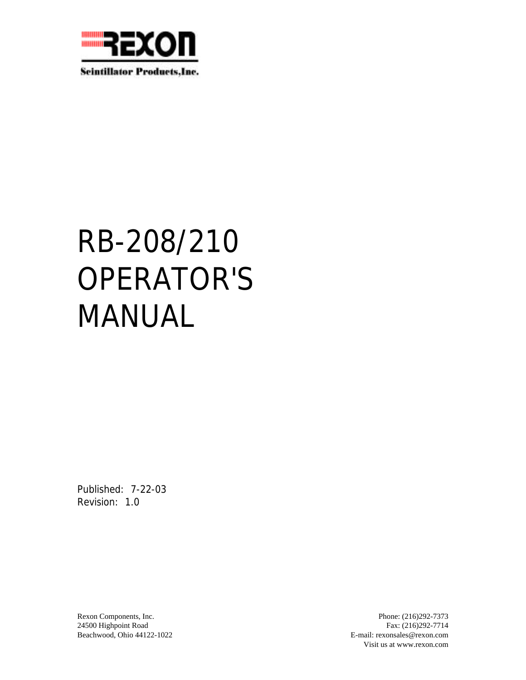

**Scintillator Products, Inc.** 

# RB-208/210 OPERATOR'S MANUAL

Published: 7-22-03 Revision: 1.0

Rexon Components, Inc. Phone: (216)292-7373 24500 Highpoint Road Fax: (216)292-7714 Beachwood, Ohio 44122-1022 E-mail: rexonsales@rexon.com Visit us at www.rexon.com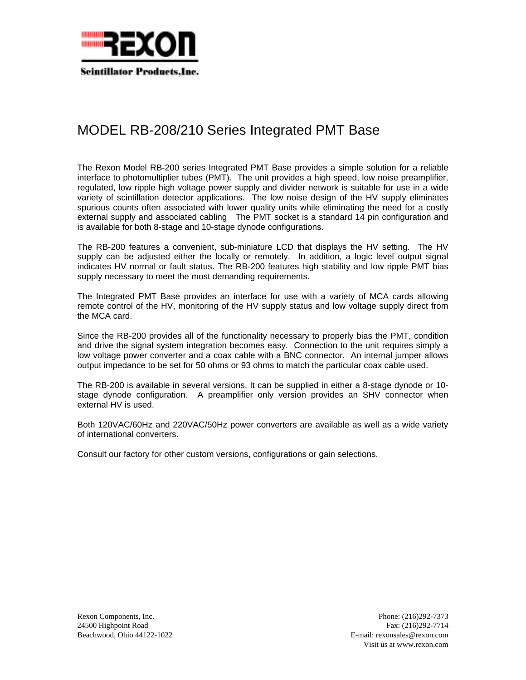

# MODEL RB-208/210 Series Integrated PMT Base

The Rexon Model RB-200 series Integrated PMT Base provides a simple solution for a reliable interface to photomultiplier tubes (PMT). The unit provides a high speed, low noise preamplifier, regulated, low ripple high voltage power supply and divider network is suitable for use in a wide variety of scintillation detector applications. The low noise design of the HV supply eliminates spurious counts often associated with lower quality units while eliminating the need for a costly external supply and associated cabling The PMT socket is a standard 14 pin configuration and is available for both 8-stage and 10-stage dynode configurations.

The RB-200 features a convenient, sub-miniature LCD that displays the HV setting. The HV supply can be adjusted either the locally or remotely. In addition, a logic level output signal indicates HV normal or fault status. The RB-200 features high stability and low ripple PMT bias supply necessary to meet the most demanding requirements.

The Integrated PMT Base provides an interface for use with a variety of MCA cards allowing remote control of the HV, monitoring of the HV supply status and low voltage supply direct from the MCA card.

Since the RB-200 provides all of the functionality necessary to properly bias the PMT, condition and drive the signal system integration becomes easy. Connection to the unit requires simply a low voltage power converter and a coax cable with a BNC connector. An internal jumper allows output impedance to be set for 50 ohms or 93 ohms to match the particular coax cable used.

The RB-200 is available in several versions. It can be supplied in either a 8-stage dynode or 10 stage dynode configuration. A preamplifier only version provides an SHV connector when external HV is used.

Both 120VAC/60Hz and 220VAC/50Hz power converters are available as well as a wide variety of international converters.

Consult our factory for other custom versions, configurations or gain selections.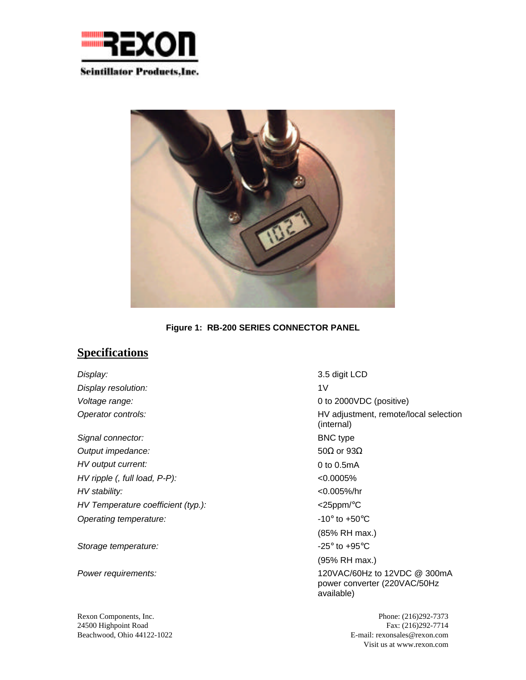



**Figure 1: RB-200 SERIES CONNECTOR PANEL**

### **Specifications**

*Display:* 3.5 digit LCD *Display resolution:* 1V *Voltage range:* 0 to 2000VDC (positive) *Signal connector:* BNC type *Output impedance: HV output current: HV ripple (, full load, P-P):* <0.0005% *HV stability:* <0.005%/hr *HV Temperature coefficient (typ.):* <25ppm/°C *Operating temperature:*  $\blacksquare$   $\blacksquare$   $\blacksquare$   $\blacksquare$   $\blacksquare$   $\blacksquare$   $\blacksquare$   $\blacksquare$   $\blacksquare$   $\blacksquare$   $\blacksquare$   $\blacksquare$   $\blacksquare$   $\blacksquare$   $\blacksquare$   $\blacksquare$   $\blacksquare$   $\blacksquare$   $\blacksquare$   $\blacksquare$   $\blacksquare$   $\blacksquare$   $\blacksquare$   $\blacksquare$   $\blacksquare$   $\blacksquare$   $\blacksquare$   $\blacksquare$ 

Storage temperature:  $\sim$  -25° to +95°C

*Operator controls:* HV adjustment, remote/local selection (internal) 50 or 93 0 to 0.5mA (85% RH max.) (95% RH max.) *Power requirements:* 120VAC/60Hz to 12VDC @ 300mA power converter (220VAC/50Hz available)

Rexon Components, Inc. Phone: (216)292-7373 24500 Highpoint Road Fax: (216)292-7714 Beachwood, Ohio 44122-1022 E-mail: rexonsales@rexon.com Visit us at www.rexon.com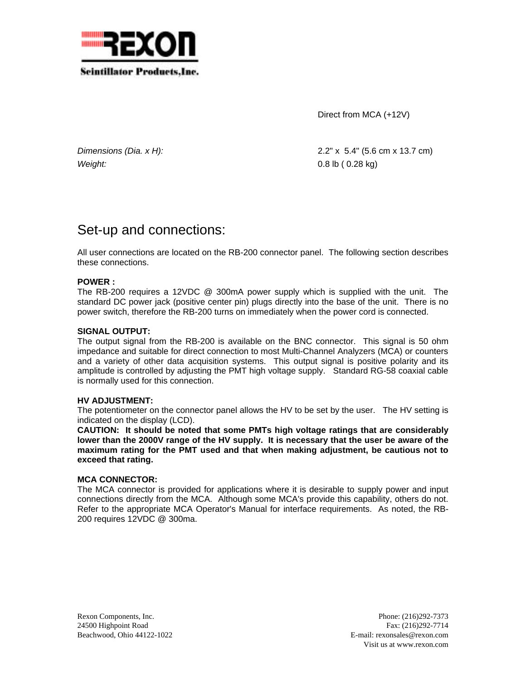

Direct from MCA (+12V)

*Weight:* 0.8 lb ( 0.28 kg)

*Dimensions (Dia. x H):* 2.2" x 5.4" (5.6 cm x 13.7 cm)

# Set-up and connections:

All user connections are located on the RB-200 connector panel. The following section describes these connections.

#### **POWER :**

The RB-200 requires a 12VDC @ 300mA power supply which is supplied with the unit. The standard DC power jack (positive center pin) plugs directly into the base of the unit. There is no power switch, therefore the RB-200 turns on immediately when the power cord is connected.

#### **SIGNAL OUTPUT:**

The output signal from the RB-200 is available on the BNC connector. This signal is 50 ohm impedance and suitable for direct connection to most Multi-Channel Analyzers (MCA) or counters and a variety of other data acquisition systems. This output signal is positive polarity and its amplitude is controlled by adjusting the PMT high voltage supply. Standard RG-58 coaxial cable is normally used for this connection.

#### **HV ADJUSTMENT:**

The potentiometer on the connector panel allows the HV to be set by the user. The HV setting is indicated on the display (LCD).

**CAUTION: It should be noted that some PMTs high voltage ratings that are considerably lower than the 2000V range of the HV supply. It is necessary that the user be aware of the maximum rating for the PMT used and that when making adjustment, be cautious not to exceed that rating.**

#### **MCA CONNECTOR:**

The MCA connector is provided for applications where it is desirable to supply power and input connections directly from the MCA. Although some MCA's provide this capability, others do not. Refer to the appropriate MCA Operator's Manual for interface requirements. As noted, the RB-200 requires 12VDC @ 300ma.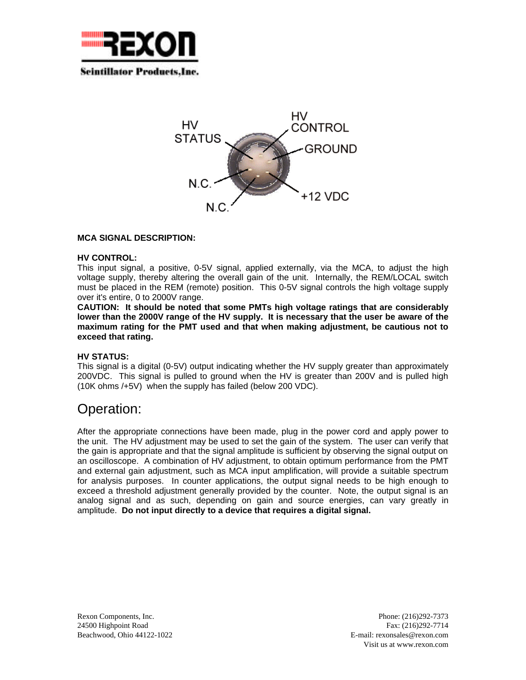

**Scintillator Products.Inc.** 



#### **MCA SIGNAL DESCRIPTION:**

#### **HV CONTROL:**

This input signal, a positive, 0-5V signal, applied externally, via the MCA, to adjust the high voltage supply, thereby altering the overall gain of the unit. Internally, the REM/LOCAL switch must be placed in the REM (remote) position. This 0-5V signal controls the high voltage supply over it's entire, 0 to 2000V range.

**CAUTION: It should be noted that some PMTs high voltage ratings that are considerably lower than the 2000V range of the HV supply. It is necessary that the user be aware of the maximum rating for the PMT used and that when making adjustment, be cautious not to exceed that rating.**

#### **HV STATUS:**

This signal is a digital (0-5V) output indicating whether the HV supply greater than approximately 200VDC. This signal is pulled to ground when the HV is greater than 200V and is pulled high (10K ohms /+5V) when the supply has failed (below 200 VDC).

## Operation:

After the appropriate connections have been made, plug in the power cord and apply power to the unit. The HV adjustment may be used to set the gain of the system. The user can verify that the gain is appropriate and that the signal amplitude is sufficient by observing the signal output on an oscilloscope. A combination of HV adjustment, to obtain optimum performance from the PMT and external gain adjustment, such as MCA input amplification, will provide a suitable spectrum for analysis purposes. In counter applications, the output signal needs to be high enough to exceed a threshold adjustment generally provided by the counter. Note, the output signal is an analog signal and as such, depending on gain and source energies, can vary greatly in amplitude. **Do not input directly to a device that requires a digital signal.**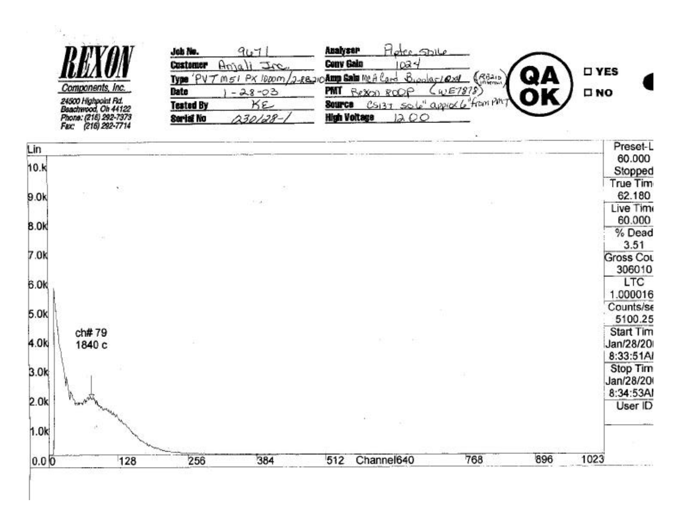| 91.7                                             | <b>Analyser</b><br>oter-Shile               |                                                                                                   |
|--------------------------------------------------|---------------------------------------------|---------------------------------------------------------------------------------------------------|
| SHT<br>Customer                                  | Conv Gain<br>1024                           |                                                                                                   |
| Date<br>$-28 - 03$                               | CWE7878<br>PMT<br>Bellon ROOP<br><b>DNO</b> |                                                                                                   |
| Kε<br><b>Tested By</b><br>$30/28-1$<br>Serial No | Source<br><b>High Voltage</b><br>12.00      |                                                                                                   |
|                                                  | Job No.<br>Туре                             | <b>D</b> YES<br>PX 1000m/2-88210 Amp Sala MCA Card<br>2.000051628<br>CSI37 SOLO approx 6 from PMT |

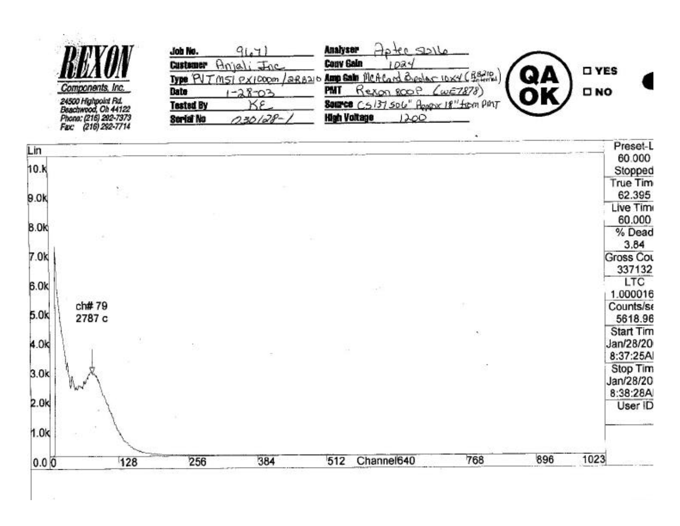